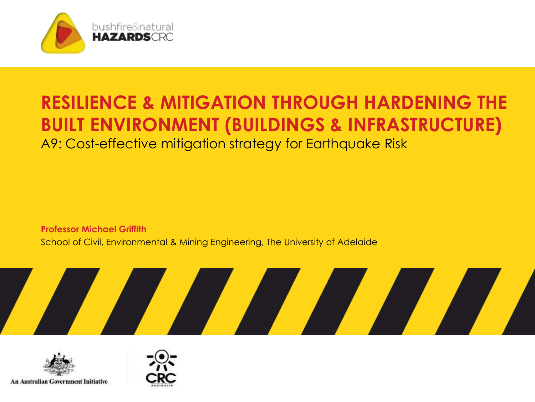

#### **RESILIENCE & MITIGATION THROUGH HARDENING THE BUILT ENVIRONMENT (BUILDINGS & INFRASTRUCTURE)** A9: Cost-effective mitigation strategy for Earthquake Risk

**Professor Michael Griffith** School of Civil, Environmental & Mining Engineering, The University of Adelaide





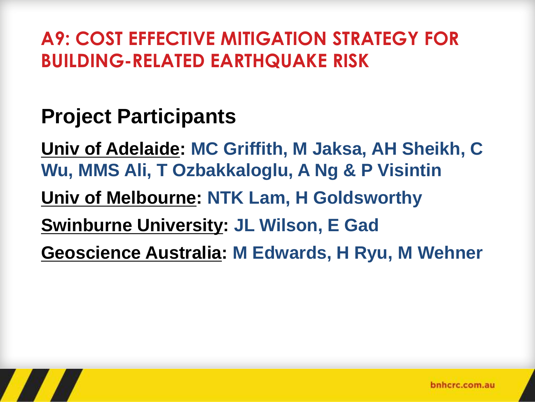### **A9: COST EFFECTIVE MITIGATION STRATEGY FOR BUILDING-RELATED EARTHQUAKE RISK**

## **Project Participants**

**Univ of Adelaide: MC Griffith, M Jaksa, AH Sheikh, C Wu, MMS Ali, T Ozbakkaloglu, A Ng & P Visintin Univ of Melbourne: NTK Lam, H Goldsworthy Swinburne University: JL Wilson, E Gad Geoscience Australia: M Edwards, H Ryu, M Wehner**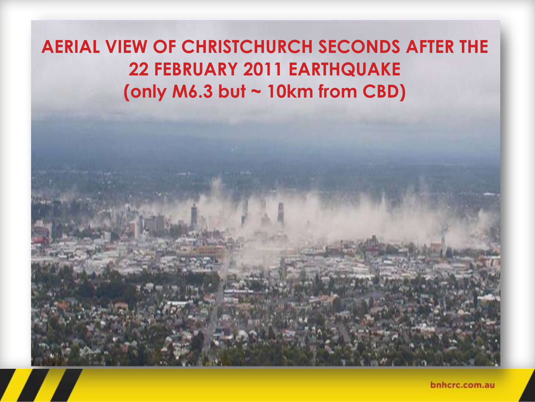### **AERIAL VIEW OF CHRISTCHURCH SECONDS AFTER THE 22 FEBRUARY 2011 EARTHQUAKE (only M6.3 but ~ 10km from CBD)**

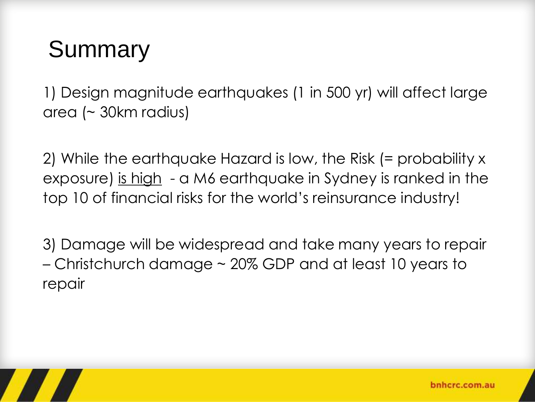# Summary

1) Design magnitude earthquakes (1 in 500 yr) will affect large area (~ 30km radius)

2) While the earthquake Hazard is low, the Risk (= probability x exposure) is high - a M6 earthquake in Sydney is ranked in the top 10 of financial risks for the world's reinsurance industry!

3) Damage will be widespread and take many years to repair – Christchurch damage ~ 20% GDP and at least 10 years to repair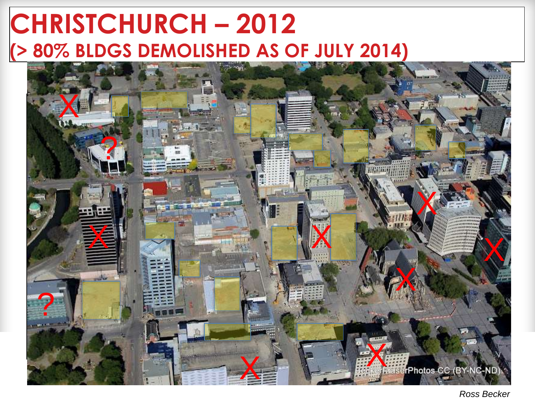# **CHRISTCHURCH - 2012** (> 80% BLDGS DEMOLISHED AS OF JULY 2014)



Ross Becker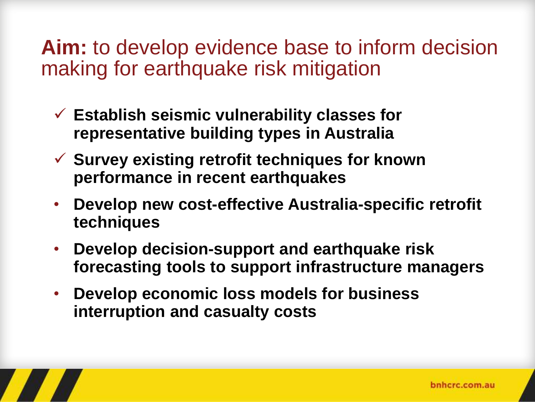#### **Aim:** to develop evidence base to inform decision making for earthquake risk mitigation

- **Establish seismic vulnerability classes for representative building types in Australia**
- **Survey existing retrofit techniques for known performance in recent earthquakes**
- **Develop new cost-effective Australia-specific retrofit techniques**
- **Develop decision-support and earthquake risk forecasting tools to support infrastructure managers**
- **Develop economic loss models for business interruption and casualty costs**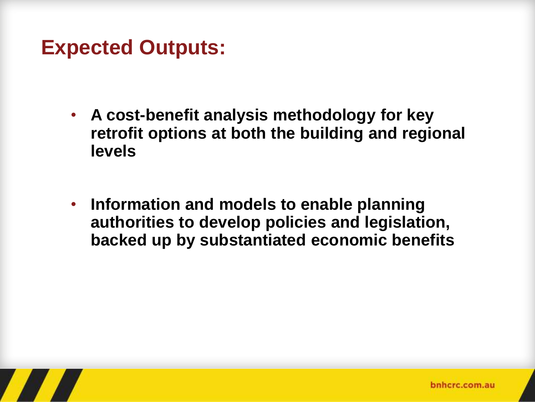#### **Expected Outputs:**

- **A cost-benefit analysis methodology for key retrofit options at both the building and regional levels**
- **Information and models to enable planning authorities to develop policies and legislation, backed up by substantiated economic benefits**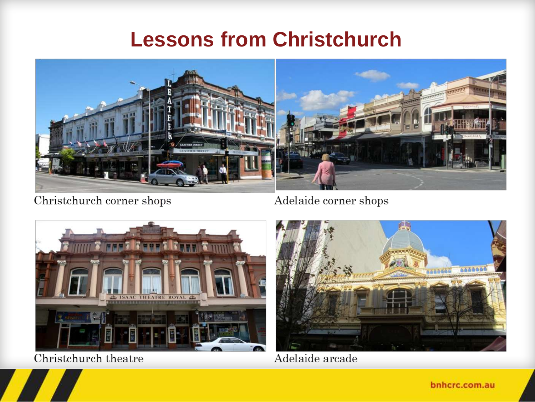## **Lessons from Christchurch**



Christchurch corner shops



Adelaide corner shops



Christchurch theatre



Adelaide arcade

bnhcrc.com.au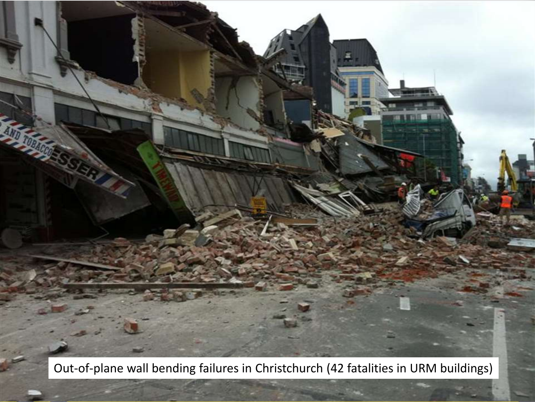Out-of-plane wall bending failures in Christchurch (42 fatalities in URM buildings)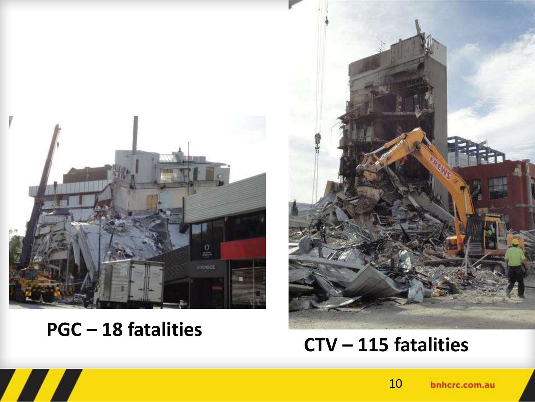

### **PGC – 18 fatalities**



### **CTV – 115 fatalities**

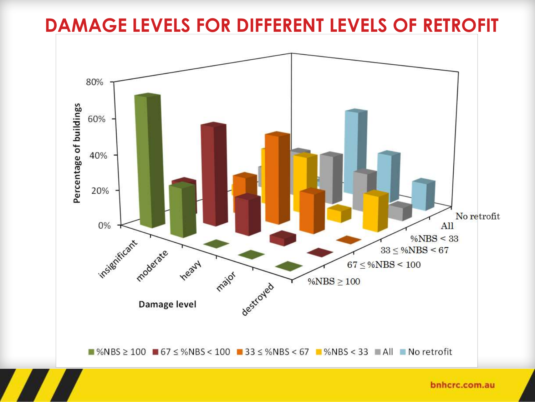#### **DAMAGE LEVELS FOR DIFFERENT LEVELS OF RETROFIT**



bnhcrc.com.au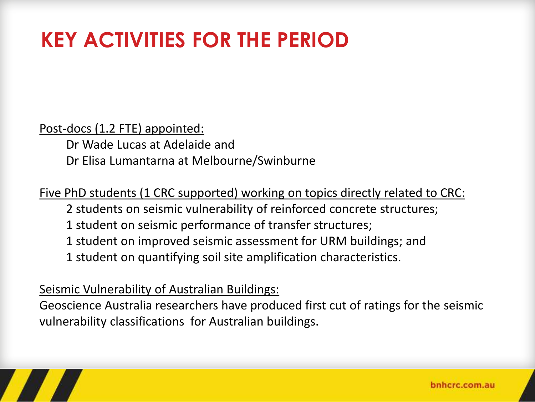# **KEY ACTIVITIES FOR THE PERIOD**

#### Post-docs (1.2 FTE) appointed:

Dr Wade Lucas at Adelaide and Dr Elisa Lumantarna at Melbourne/Swinburne

#### Five PhD students (1 CRC supported) working on topics directly related to CRC:

- 2 students on seismic vulnerability of reinforced concrete structures;
- 1 student on seismic performance of transfer structures;
- 1 student on improved seismic assessment for URM buildings; and
- 1 student on quantifying soil site amplification characteristics.

#### Seismic Vulnerability of Australian Buildings:

Geoscience Australia researchers have produced first cut of ratings for the seismic vulnerability classifications for Australian buildings.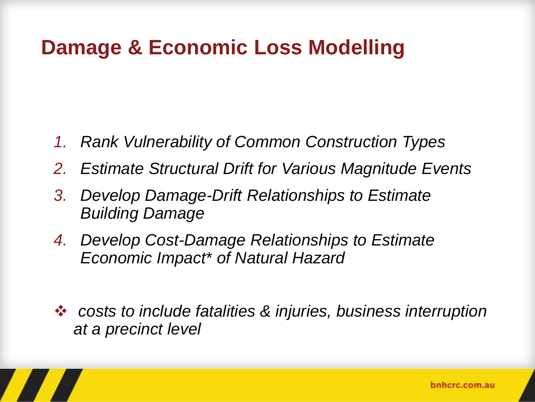# **Damage & Economic Loss Modelling**

- *1. Rank Vulnerability of Common Construction Types*
- *2. Estimate Structural Drift for Various Magnitude Events*
- *3. Develop Damage-Drift Relationships to Estimate Building Damage*
- *4. Develop Cost-Damage Relationships to Estimate Economic Impact\* of Natural Hazard*
- *costs to include fatalities & injuries, business interruption at a precinct level*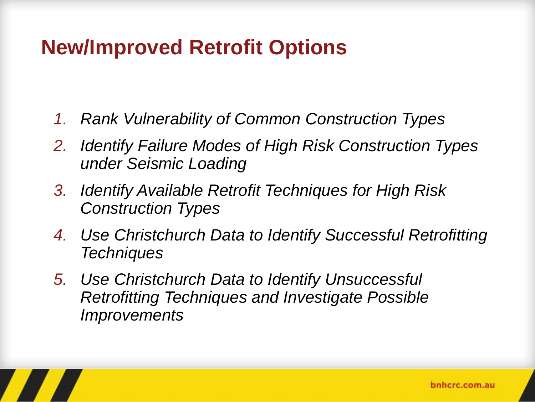# **New/Improved Retrofit Options**

- *1. Rank Vulnerability of Common Construction Types*
- *2. Identify Failure Modes of High Risk Construction Types under Seismic Loading*
- *3. Identify Available Retrofit Techniques for High Risk Construction Types*
- *4. Use Christchurch Data to Identify Successful Retrofitting Techniques*
- *5. Use Christchurch Data to Identify Unsuccessful Retrofitting Techniques and Investigate Possible Improvements*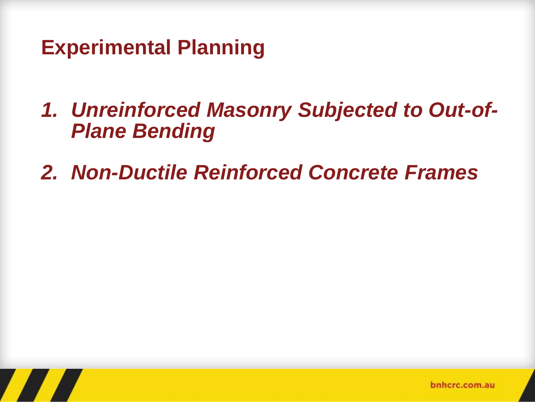## **Experimental Planning**

*1. Unreinforced Masonry Subjected to Out-of-Plane Bending*

*2. Non-Ductile Reinforced Concrete Frames*

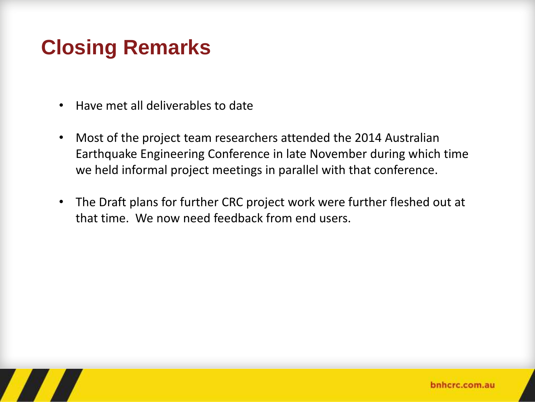# **Closing Remarks**

- Have met all deliverables to date
- Most of the project team researchers attended the 2014 Australian Earthquake Engineering Conference in late November during which time we held informal project meetings in parallel with that conference.
- The Draft plans for further CRC project work were further fleshed out at that time. We now need feedback from end users.